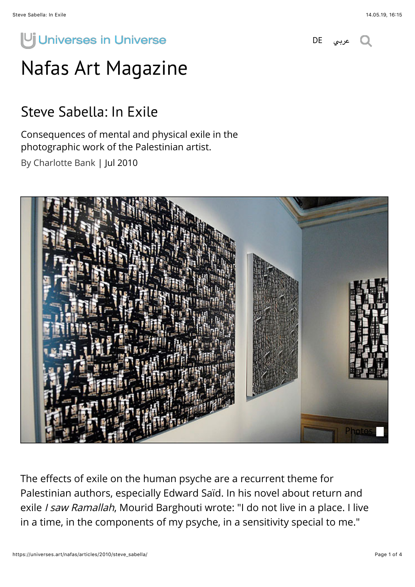## Uj Universes in Universe

[عربي](https://universes.art/ar/nafas/articles/2010/steve-sabella/) [DE](https://universes.art/de/nafas/articles/2010/steve-sabella/)

## [Nafas Art Magazine](https://universes.art/en/nafas/)

## Steve Sabella: In Exile

Consequences of mental and physical exile in the photographic work of the Palestinian artist.

By Charlotte Bank | Jul 2010



The effects of exile on the human psyche are a recurrent theme for Palestinian authors, especially Edward Saïd. In his novel about return and exile I saw Ramallah, Mourid Barghouti wrote: "I do not live in a place. I live in a time, in the components of my psyche, in a sensitivity special to me."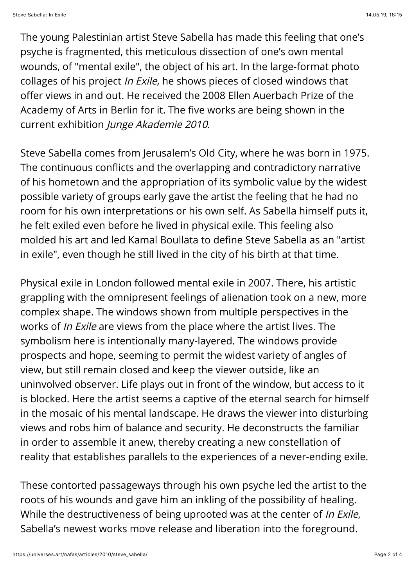The young Palestinian artist Steve Sabella has made this feeling that one's psyche is fragmented, this meticulous dissection of one's own mental wounds, of "mental exile", the object of his art. In the large-format photo collages of his project In Exile, he shows pieces of closed windows that offer views in and out. He received the 2008 Ellen Auerbach Prize of the Academy of Arts in Berlin for it. The five works are being shown in the current exhibition Junge Akademie 2010.

Steve Sabella comes from Jerusalem's Old City, where he was born in 1975. The continuous conflicts and the overlapping and contradictory narrative of his hometown and the appropriation of its symbolic value by the widest possible variety of groups early gave the artist the feeling that he had no room for his own interpretations or his own self. As Sabella himself puts it, he felt exiled even before he lived in physical exile. This feeling also molded his art and led Kamal Boullata to define Steve Sabella as an "artist in exile", even though he still lived in the city of his birth at that time.

Physical exile in London followed mental exile in 2007. There, his artistic grappling with the omnipresent feelings of alienation took on a new, more complex shape. The windows shown from multiple perspectives in the works of *In Exile* are views from the place where the artist lives. The symbolism here is intentionally many-layered. The windows provide prospects and hope, seeming to permit the widest variety of angles of view, but still remain closed and keep the viewer outside, like an uninvolved observer. Life plays out in front of the window, but access to it is blocked. Here the artist seems a captive of the eternal search for himself in the mosaic of his mental landscape. He draws the viewer into disturbing views and robs him of balance and security. He deconstructs the familiar in order to assemble it anew, thereby creating a new constellation of reality that establishes parallels to the experiences of a never-ending exile.

These contorted passageways through his own psyche led the artist to the roots of his wounds and gave him an inkling of the possibility of healing. While the destructiveness of being uprooted was at the center of *In Exile*, Sabella's newest works move release and liberation into the foreground.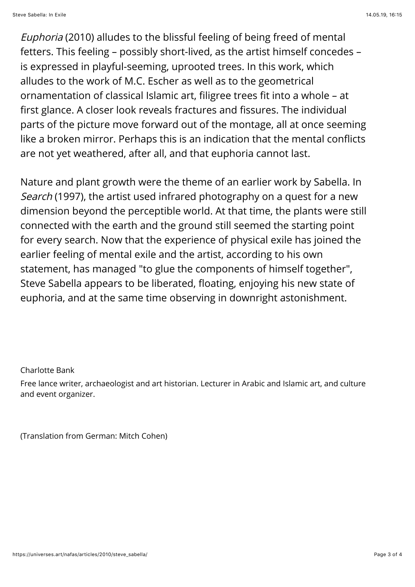Euphoria (2010) alludes to the blissful feeling of being freed of mental fetters. This feeling – possibly short-lived, as the artist himself concedes – is expressed in playful-seeming, uprooted trees. In this work, which alludes to the work of M.C. Escher as well as to the geometrical ornamentation of classical Islamic art, filigree trees fit into a whole – at first glance. A closer look reveals fractures and fissures. The individual parts of the picture move forward out of the montage, all at once seeming like a broken mirror. Perhaps this is an indication that the mental conflicts are not yet weathered, after all, and that euphoria cannot last.

Nature and plant growth were the theme of an earlier work by Sabella. In Search (1997), the artist used infrared photography on a quest for a new dimension beyond the perceptible world. At that time, the plants were still connected with the earth and the ground still seemed the starting point for every search. Now that the experience of physical exile has joined the earlier feeling of mental exile and the artist, according to his own statement, has managed "to glue the components of himself together", Steve Sabella appears to be liberated, floating, enjoying his new state of euphoria, and at the same time observing in downright astonishment.

Charlotte Bank

Free lance writer, archaeologist and art historian. Lecturer in Arabic and Islamic art, and culture and event organizer.

(Translation from German: Mitch Cohen)